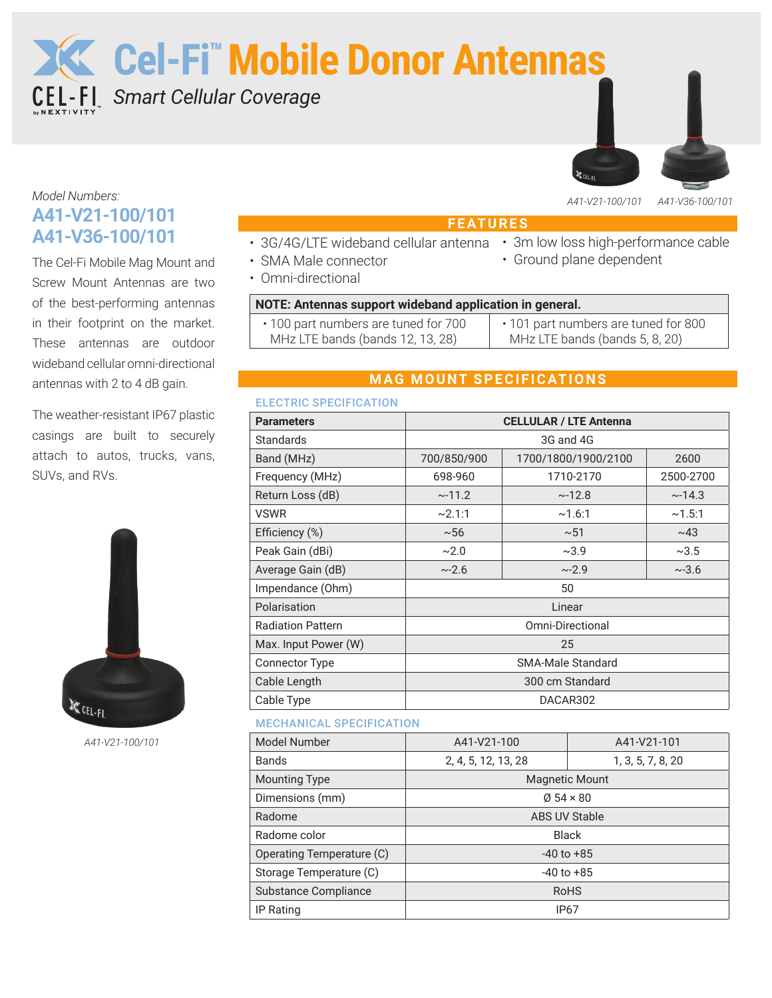**Cel-Fi™Mobile Donor Antennas**

*Smart Cellular Coverage*



• Ground plane dependent

# *Model Numbers:* **A41-V21-100/101 A41-V36-100/101**

The Cel-Fi Mobile Mag Mount and Screw Mount Antennas are two of the best-performing antennas in their footprint on the market. These antennas are outdoor wideband cellular omni-directional antennas with 2 to 4 dB gain.

The weather-resistant IP67 plastic casings are built to securely attach to autos, trucks, vans, SUVs, and RVs.



*A41-V21-100/101*

# **FEATURES**

- 3G/4G/LTE wideband cellular antenna 3m low loss high-performance cable
- SMA Male connector
- Omni-directional

## **NOTE: Antennas support wideband application in general.**

| • 100 part numbers are tuned for 700 | • 101 part numbers are tuned for 800 |
|--------------------------------------|--------------------------------------|
| MHz LTE bands (bands 12, 13, 28)     | MHz LTE bands (bands 5, 8, 20)       |

# **MAG MOUNT SPECIFICATIONS**

## ELECTRIC SPECIFICATION

| 667. THE CHILD OF THE THE THE THE THE TH |                               |                     |            |
|------------------------------------------|-------------------------------|---------------------|------------|
| <b>Parameters</b>                        | <b>CELLULAR / LTE Antenna</b> |                     |            |
| Standards                                | 3G and 4G                     |                     |            |
| Band (MHz)                               | 700/850/900                   | 1700/1800/1900/2100 | 2600       |
| Frequency (MHz)                          | 698-960                       | 1710-2170           | 2500-2700  |
| Return Loss (dB)                         | ~11.2                         | ~12.8               | ~14.3      |
| <b>VSWR</b>                              | ~2.1:1                        | ~1.6:1              | ~1.5:1     |
| Efficiency (%)                           | ~56                           | ~51                 | ~143       |
| Peak Gain (dBi)                          | $\sim$ 2.0                    | ~2.9                | ~2.5       |
| Average Gain (dB)                        | ~2.6                          | ~2.9                | $~1 - 3.6$ |
| Impendance (Ohm)                         | 50                            |                     |            |
| Polarisation                             | Linear                        |                     |            |
| <b>Radiation Pattern</b>                 | Omni-Directional              |                     |            |
| Max. Input Power (W)                     | 25                            |                     |            |
| <b>Connector Type</b>                    | <b>SMA-Male Standard</b>      |                     |            |
| Cable Length                             | 300 cm Standard               |                     |            |
| Cable Type                               | DACAR302                      |                     |            |

## MECHANICAL SPECIFICATION

| <b>Model Number</b>         | A41-V21-100<br>A41-V21-101   |                   |
|-----------------------------|------------------------------|-------------------|
| Bands                       | 2, 4, 5, 12, 13, 28          | 1, 3, 5, 7, 8, 20 |
| <b>Mounting Type</b>        | <b>Magnetic Mount</b>        |                   |
| Dimensions (mm)             | $\varnothing$ 54 $\times$ 80 |                   |
| Radome                      | <b>ABS UV Stable</b>         |                   |
| Radome color                | <b>Black</b>                 |                   |
| Operating Temperature (C)   | $-40$ to $+85$               |                   |
| Storage Temperature (C)     | $-40$ to $+85$               |                   |
| <b>Substance Compliance</b> | <b>RoHS</b>                  |                   |
| IP Rating                   | IP67                         |                   |
|                             |                              |                   |